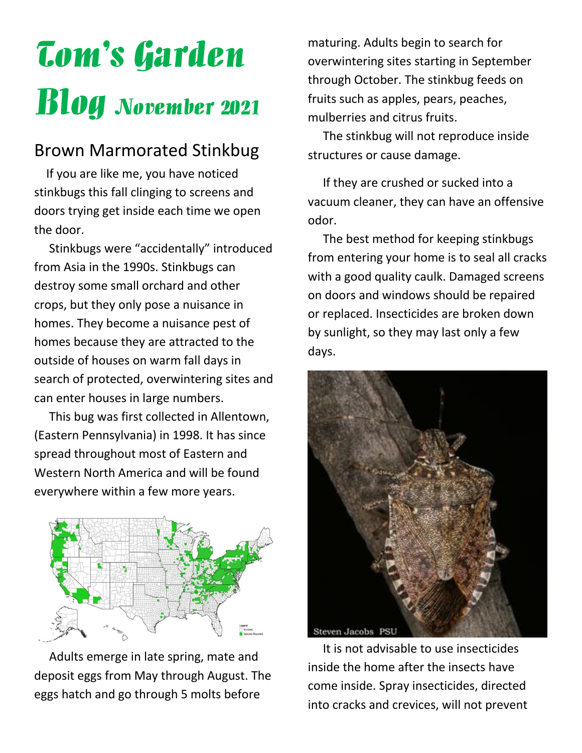# Tom's Garden Blog November 2021

## Brown Marmorated Stinkbug

 If you are like me, you have noticed stinkbugs this fall clinging to screens and doors trying get inside each time we open the door.

 Stinkbugs were "accidentally" introduced from Asia in the 1990s. Stinkbugs can destroy some small orchard and other crops, but they only pose a nuisance in homes. They become a nuisance pest of homes because they are attracted to the outside of houses on warm fall days in search of protected, overwintering sites and can enter houses in large numbers.

 This bug was first collected in Allentown, (Eastern Pennsylvania) in 1998. It has since spread throughout most of Eastern and Western North America and will be found everywhere within a few more years.



 Adults emerge in late spring, mate and deposit eggs from May through August. The eggs hatch and go through 5 molts before

maturing. Adults begin to search for overwintering sites starting in September through October. The stinkbug feeds on fruits such as apples, pears, peaches, mulberries and citrus fruits.

 The stinkbug will not reproduce inside structures or cause damage.

 If they are crushed or sucked into a vacuum cleaner, they can have an offensive odor.

 The best method for keeping stinkbugs from entering your home is to seal all cracks with a good quality caulk. Damaged screens on doors and windows should be repaired or replaced. Insecticides are broken down by sunlight, so they may last only a few days.



 It is not advisable to use insecticides inside the home after the insects have come inside. Spray insecticides, directed into cracks and crevices, will not prevent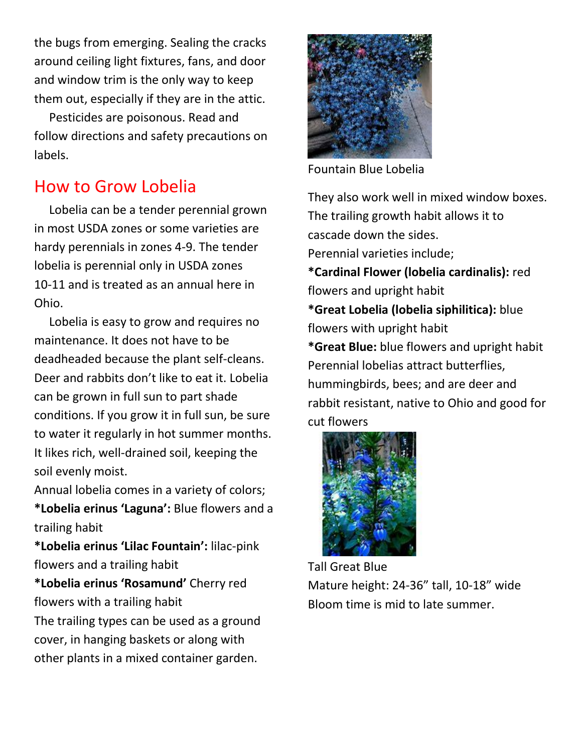the bugs from emerging. Sealing the cracks around ceiling light fixtures, fans, and door and window trim is the only way to keep them out, especially if they are in the attic.

 Pesticides are poisonous. Read and follow directions and safety precautions on labels.

## How to Grow Lobelia

 Lobelia can be a tender perennial grown in most USDA zones or some varieties are hardy perennials in zones 4-9. The tender lobelia is perennial only in USDA zones 10-11 and is treated as an annual here in Ohio.

 Lobelia is easy to grow and requires no maintenance. It does not have to be deadheaded because the plant self-cleans. Deer and rabbits don't like to eat it. Lobelia can be grown in full sun to part shade conditions. If you grow it in full sun, be sure to water it regularly in hot summer months. It likes rich, well-drained soil, keeping the soil evenly moist.

Annual lobelia comes in a variety of colors; **\*Lobelia erinus 'Laguna':** Blue flowers and a

trailing habit

**\*Lobelia erinus 'Lilac Fountain':** lilac-pink flowers and a trailing habit

**\*Lobelia erinus 'Rosamund'** Cherry red flowers with a trailing habit

The trailing types can be used as a ground cover, in hanging baskets or along with other plants in a mixed container garden.



Fountain Blue Lobelia

They also work well in mixed window boxes. The trailing growth habit allows it to cascade down the sides. Perennial varieties include;

**\*Cardinal Flower (lobelia cardinalis):** red flowers and upright habit

**\*Great Lobelia (lobelia siphilitica):** blue flowers with upright habit

**\*Great Blue:** blue flowers and upright habit Perennial lobelias attract butterflies, hummingbirds, bees; and are deer and rabbit resistant, native to Ohio and good for cut flowers



Tall Great Blue Mature height: 24-36" tall, 10-18" wide Bloom time is mid to late summer.